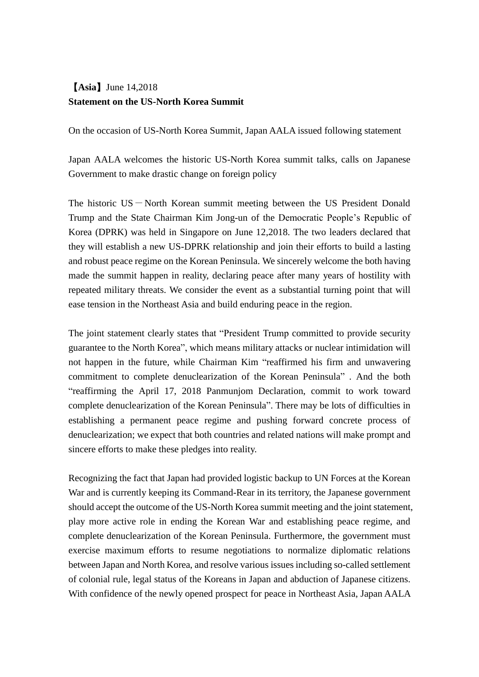## 【**Asia**】June 14,2018 **Statement on the US-North Korea Summit**

On the occasion of US-North Korea Summit, Japan AALA issued following statement

Japan AALA welcomes the historic US-North Korea summit talks, calls on Japanese Government to make drastic change on foreign policy

The historic  $US - North$  Korean summit meeting between the US President Donald Trump and the State Chairman Kim Jong-un of the Democratic People's Republic of Korea (DPRK) was held in Singapore on June 12,2018. The two leaders declared that they will establish a new US-DPRK relationship and join their efforts to build a lasting and robust peace regime on the Korean Peninsula. We sincerely welcome the both having made the summit happen in reality, declaring peace after many years of hostility with repeated military threats. We consider the event as a substantial turning point that will ease tension in the Northeast Asia and build enduring peace in the region.

The joint statement clearly states that "President Trump committed to provide security guarantee to the North Korea", which means military attacks or nuclear intimidation will not happen in the future, while Chairman Kim "reaffirmed his firm and unwavering commitment to complete denuclearization of the Korean Peninsula" . And the both "reaffirming the April 17, 2018 Panmunjom Declaration, commit to work toward complete denuclearization of the Korean Peninsula". There may be lots of difficulties in establishing a permanent peace regime and pushing forward concrete process of denuclearization; we expect that both countries and related nations will make prompt and sincere efforts to make these pledges into reality.

Recognizing the fact that Japan had provided logistic backup to UN Forces at the Korean War and is currently keeping its Command-Rear in its territory, the Japanese government should accept the outcome of the US-North Korea summit meeting and the joint statement, play more active role in ending the Korean War and establishing peace regime, and complete denuclearization of the Korean Peninsula. Furthermore, the government must exercise maximum efforts to resume negotiations to normalize diplomatic relations between Japan and North Korea, and resolve various issues including so-called settlement of colonial rule, legal status of the Koreans in Japan and abduction of Japanese citizens. With confidence of the newly opened prospect for peace in Northeast Asia, Japan AALA